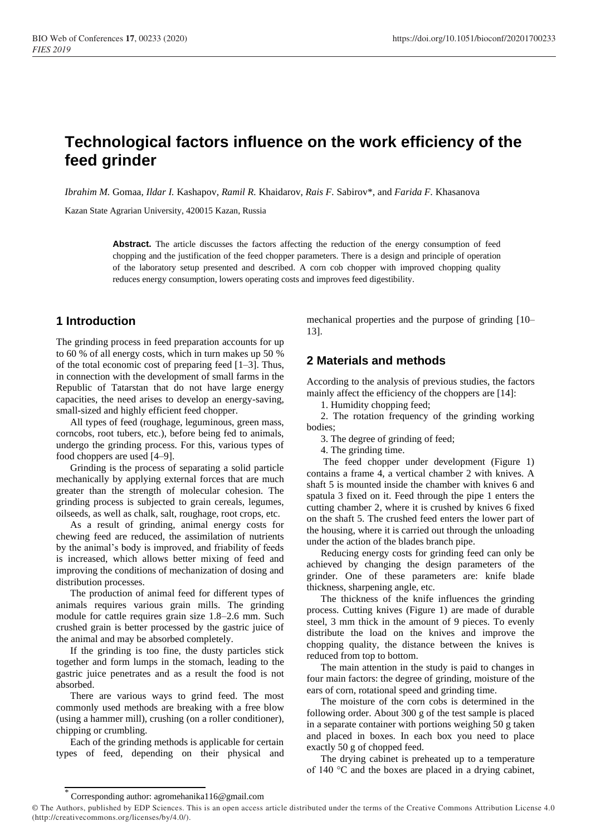# **Technological factors influence on the work efficiency of the feed grinder**

*Ibrahim M.* Gomaa, *Ildar I.* Kashapov, *Ramil R.* Khaidarov, *Rais F.* Sabirov\*, and *Farida F.* Khasanova

Kazan State Agrarian University, 420015 Kazan, Russia

**Abstract.** The article discusses the factors affecting the reduction of the energy consumption of feed chopping and the justification of the feed chopper parameters. There is a design and principle of operation of the laboratory setup presented and described. A corn cob chopper with improved chopping quality reduces energy consumption, lowers operating costs and improves feed digestibility.

### **1 Introduction**

The grinding process in feed preparation accounts for up to 60 % of all energy costs, which in turn makes up 50 % of the total economic cost of preparing feed [1–3]. Thus, in connection with the development of small farms in the Republic of Tatarstan that do not have large energy capacities, the need arises to develop an energy-saving, small-sized and highly efficient feed chopper.

All types of feed (roughage, leguminous, green mass, corncobs, root tubers, etc.), before being fed to animals, undergo the grinding process. For this, various types of food choppers are used [4–9].

Grinding is the process of separating a solid particle mechanically by applying external forces that are much greater than the strength of molecular cohesion. The grinding process is subjected to grain cereals, legumes, oilseeds, as well as chalk, salt, roughage, root crops, etc.

As a result of grinding, animal energy costs for chewing feed are reduced, the assimilation of nutrients by the animal's body is improved, and friability of feeds is increased, which allows better mixing of feed and improving the conditions of mechanization of dosing and distribution processes.

The production of animal feed for different types of animals requires various grain mills. The grinding module for cattle requires grain size 1.8–2.6 mm. Such crushed grain is better processed by the gastric juice of the animal and may be absorbed completely.

If the grinding is too fine, the dusty particles stick together and form lumps in the stomach, leading to the gastric juice penetrates and as a result the food is not absorbed.

There are various ways to grind feed. The most commonly used methods are breaking with a free blow (using a hammer mill), crushing (on a roller conditioner), chipping or crumbling.

Each of the grinding methods is applicable for certain types of feed, depending on their physical and mechanical properties and the purpose of grinding [10– 13].

#### **2 Materials and methods**

According to the analysis of previous studies, the factors mainly affect the efficiency of the choppers are [14]:

1. Humidity chopping feed;

2. The rotation frequency of the grinding working bodies;

3. The degree of grinding of feed;

4. The grinding time.

The feed chopper under development (Figure 1) contains a frame 4, a vertical chamber 2 with knives. A shaft 5 is mounted inside the chamber with knives 6 and spatula 3 fixed on it. Feed through the pipe 1 enters the cutting chamber 2, where it is crushed by knives 6 fixed on the shaft 5. The crushed feed enters the lower part of the housing, where it is carried out through the unloading under the action of the blades branch pipe.

Reducing energy costs for grinding feed can only be achieved by changing the design parameters of the grinder. One of these parameters are: knife blade thickness, sharpening angle, etc.

The thickness of the knife influences the grinding process. Cutting knives (Figure 1) are made of durable steel, 3 mm thick in the amount of 9 pieces. To evenly distribute the load on the knives and improve the chopping quality, the distance between the knives is reduced from top to bottom.

The main attention in the study is paid to changes in four main factors: the degree of grinding, moisture of the ears of corn, rotational speed and grinding time.

The moisture of the corn cobs is determined in the following order. About 300 g of the test sample is placed in a separate container with portions weighing 50 g taken and placed in boxes. In each box you need to place exactly 50 g of chopped feed.

The drying cabinet is preheated up to a temperature of 140 °C and the boxes are placed in a drying cabinet,

<sup>\*</sup> Corresponding author: agromehanika116@gmail.com

<sup>©</sup> The Authors, published by EDP Sciences. This is an open access article distributed under the terms of the Creative Commons Attribution License 4.0 (http://creativecommons.org/licenses/by/4.0/).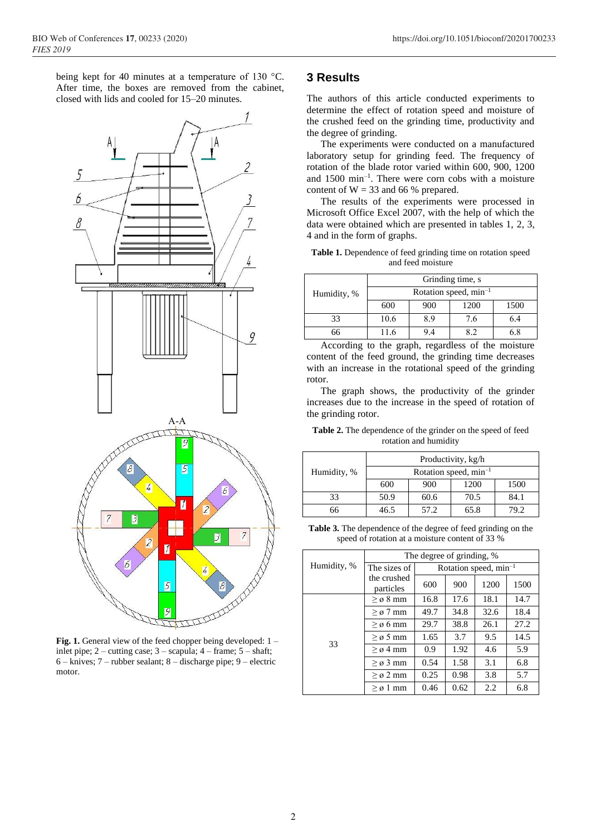being kept for 40 minutes at a temperature of 130 °C. After time, the boxes are removed from the cabinet, closed with lids and cooled for 15–20 minutes.



Fig. 1. General view of the feed chopper being developed: 1 – inlet pipe; 2 – cutting case; 3 – scapula; 4 – frame; 5 – shaft; 6 – knives; 7 – rubber sealant; 8 – discharge pipe; 9 – electric motor.

#### **3 Results**

The authors of this article conducted experiments to determine the effect of rotation speed and moisture of the crushed feed on the grinding time, productivity and the degree of grinding.

The experiments were conducted on a manufactured laboratory setup for grinding feed. The frequency of rotation of the blade rotor varied within 600, 900, 1200 and 1500 min–1 . There were corn cobs with a moisture content of  $W = 33$  and 66 % prepared.

The results of the experiments were processed in Microsoft Office Excel 2007, with the help of which the data were obtained which are presented in tables 1, 2, 3, 4 and in the form of graphs.

**Table 1.** Dependence of feed grinding time on rotation speed and feed moisture

| Humidity, % | Grinding time, s                  |     |      |      |  |
|-------------|-----------------------------------|-----|------|------|--|
|             | Rotation speed, min <sup>-1</sup> |     |      |      |  |
|             | 600                               | 900 | 1200 | 1500 |  |
| 33          | 10.6                              | 8.9 | 7.6  | 6.4  |  |
| ร6          | 11.6                              | 9.4 | R 9  | ና ጸ  |  |

According to the graph, regardless of the moisture content of the feed ground, the grinding time decreases with an increase in the rotational speed of the grinding rotor.

The graph shows, the productivity of the grinder increases due to the increase in the speed of rotation of the grinding rotor.

**Table 2.** The dependence of the grinder on the speed of feed rotation and humidity

| Humidity, % | Productivity, kg/h         |      |      |      |  |
|-------------|----------------------------|------|------|------|--|
|             | Rotation speed, $min^{-1}$ |      |      |      |  |
|             | 600                        | 900  | 1200 | 1500 |  |
| 33          | 50.9                       | 60.6 | 70.5 | 84.1 |  |
| 66          | 46.5                       | 57.2 | 65.8 | 79.2 |  |

**Table 3.** The dependence of the degree of feed grinding on the speed of rotation at a moisture content of 33 %

| Humidity, % | The degree of grinding, % |                                   |      |      |      |
|-------------|---------------------------|-----------------------------------|------|------|------|
|             | The sizes of              | Rotation speed, min <sup>-1</sup> |      |      |      |
|             | the crushed<br>particles  | 600                               | 900  | 1200 | 1500 |
| 33          | $\geq \varnothing$ 8 mm   | 16.8                              | 17.6 | 18.1 | 14.7 |
|             | $\geq \varnothing$ 7 mm   | 49.7                              | 34.8 | 32.6 | 18.4 |
|             | $\geq \varnothing$ 6 mm   | 29.7                              | 38.8 | 26.1 | 27.2 |
|             | $> \varnothing$ 5 mm      | 1.65                              | 3.7  | 9.5  | 14.5 |
|             | $> \varrho 4$ mm          | 0.9                               | 1.92 | 4.6  | 5.9  |
|             | $> \sigma$ 3 mm           | 0.54                              | 1.58 | 3.1  | 6.8  |
|             | $> \varnothing$ 2 mm      | 0.25                              | 0.98 | 3.8  | 5.7  |
|             | $> \sigma 1$ mm           | 0.46                              | 0.62 | 2.2  | 6.8  |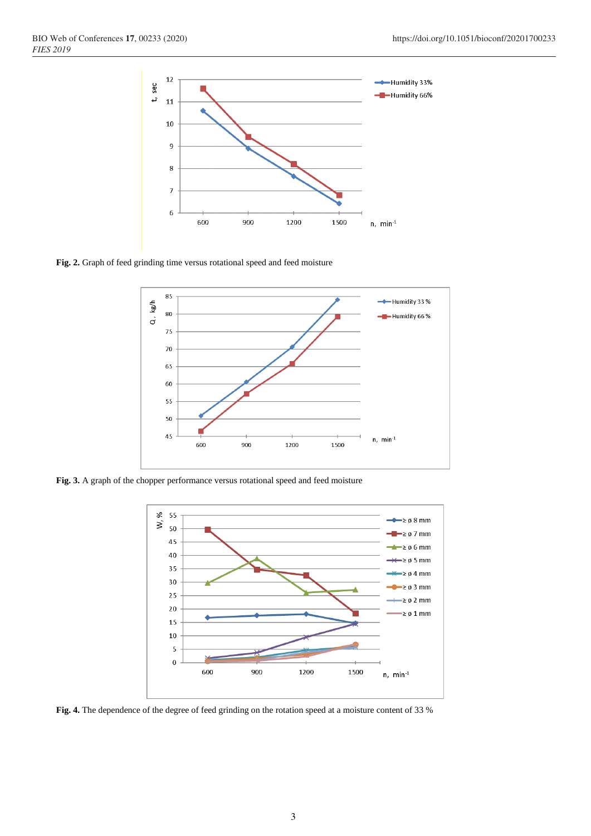

**Fig. 2.** Graph of feed grinding time versus rotational speed and feed moisture



**Fig. 3.** A graph of the chopper performance versus rotational speed and feed moisture



**Fig. 4.** The dependence of the degree of feed grinding on the rotation speed at a moisture content of 33 %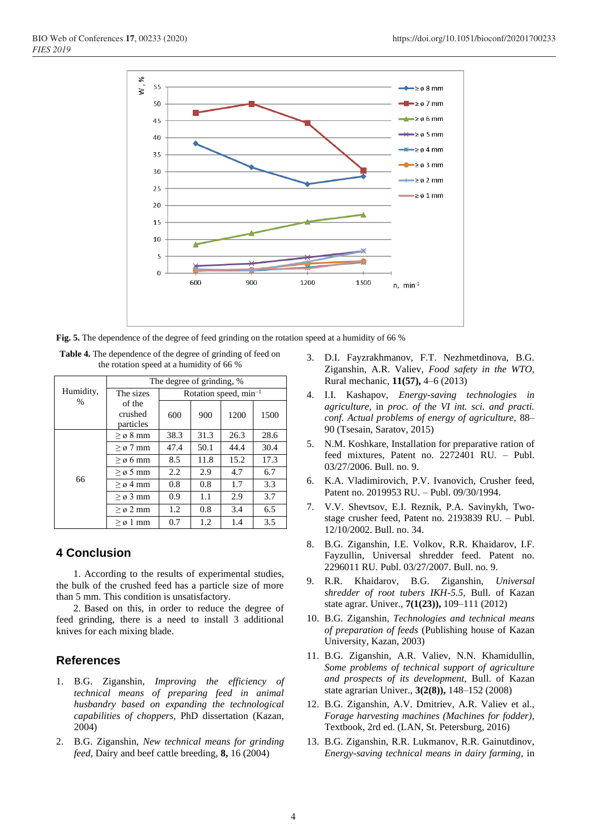

**Fig. 5.** The dependence of the degree of feed grinding on the rotation speed at a humidity of 66 %

| Humidity,<br>$\frac{0}{0}$ | The degree of grinding, % |                                   |      |      |      |
|----------------------------|---------------------------|-----------------------------------|------|------|------|
|                            | The sizes                 | Rotation speed, min <sup>-1</sup> |      |      |      |
|                            | of the                    |                                   |      |      |      |
|                            | crushed                   | 600                               | 900  | 1200 | 1500 |
|                            | particles                 |                                   |      |      |      |
| 66                         | $> \sigma 8$ mm           | 38.3                              | 31.3 | 26.3 | 28.6 |
|                            | $\geq \varnothing$ 7 mm   | 47.4                              | 50.1 | 44.4 | 30.4 |
|                            | $\geq \varnothing$ 6 mm   | 8.5                               | 11.8 | 15.2 | 17.3 |
|                            | $> \varnothing$ 5 mm      | $2.2^{\circ}$                     | 2.9  | 4.7  | 6.7  |
|                            | $> \varrho 4$ mm          | 0.8                               | 0.8  | 1.7  | 3.3  |
|                            | $> \varnothing$ 3 mm      | 0.9                               | 1.1  | 2.9  | 3.7  |
|                            | $> \varnothing$ 2 mm      | 1.2                               | 0.8  | 3.4  | 6.5  |
|                            | $> \varrho 1$ mm          | 0.7                               | 1.2  | 1.4  | 3.5  |

**Table 4.** The dependence of the degree of grinding of feed on the rotation speed at a humidity of 66 %

# **4 Conclusion**

1. According to the results of experimental studies, the bulk of the crushed feed has a particle size of more than 5 mm. This condition is unsatisfactory.

2. Based on this, in order to reduce the degree of feed grinding, there is a need to install 3 additional knives for each mixing blade.

## **References**

- 1. B.G. Ziganshin, *Improving the efficiency of technical means of preparing feed in animal husbandry based on expanding the technological capabilities of choppers,* PhD dissertation (Kazan, 2004)
- 2. B.G. Ziganshin, *New technical means for grinding feed,* Dairy and beef cattle breeding, **8,** 16 (2004)
- 3. D.I. Fayzrakhmanov, F.T. Nezhmetdinova, B.G. Ziganshin, A.R. Valiev, *Food safety in the WTO,* Rural mechanic, **11(57),** 4–6 (2013)
- 4. I.I. Kashapov, *Energy-saving technologies in agriculture,* in *proc. of the VI int. sci. and practi. conf. Actual problems of energy of agriculture,* 88– 90 (Tsesain, Saratov, 2015)
- 5. N.M. Koshkare, Installation for preparative ration of feed mixtures, Patent no. 2272401 RU. – Publ. 03/27/2006. Bull. no. 9.
- 6. K.A. Vladimirovich, P.V. Ivanovich, Crusher feed, Patent no. 2019953 RU. – Publ. 09/30/1994.
- 7. V.V. Shevtsov, E.I. Reznik, P.A. Savinykh, Twostage crusher feed, Patent no. 2193839 RU. – Publ. 12/10/2002. Bull. no. 34.
- 8. B.G. Ziganshin, I.E. Volkov, R.R. Khaidarov, I.F. Fayzullin, Universal shredder feed. Patent no. 2296011 RU. Publ. 03/27/2007. Bull. no. 9.
- 9. R.R. Khaidarov, B.G. Ziganshin, *Universal shredder of root tubers IKH-5.5,* Bull. of Kazan state agrar. Univer., **7(1(23)),** 109–111 (2012)
- 10. B.G. Ziganshin, *Technologies and technical means of preparation of feeds* (Publishing house of Kazan University, Kazan, 2003)
- 11. B.G. Ziganshin, A.R. Valiev, N.N. Khamidullin, *Some problems of technical support of agriculture and prospects of its development,* Bull. of Kazan state agrarian Univer., **3(2(8)),** 148–152 (2008)
- 12. B.G. Ziganshin, A.V. Dmitriev, A.R. Valiev et al., *Forage harvesting machines (Machines for fodder),* Textbook, 2rd ed. (LAN, St. Petersburg, 2016)
- 13. B.G. Ziganshin, R.R. Lukmanov, R.R. Gainutdinov, *Energy-saving technical means in dairy farming,* in